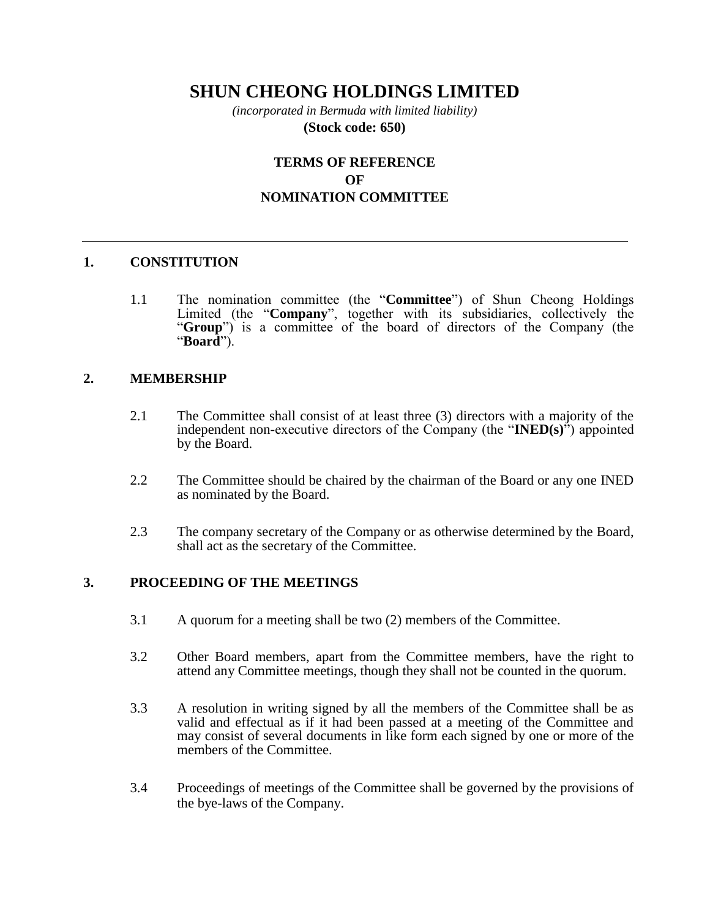# **SHUN CHEONG HOLDINGS LIMITED**

*(incorporated in Bermuda with limited liability)* **(Stock code: 650)**

# **TERMS OF REFERENCE OF NOMINATION COMMITTEE**

## **1. CONSTITUTION**

1.1 The nomination committee (the "**Committee**") of Shun Cheong Holdings Limited (the "**Company**", together with its subsidiaries, collectively the "**Group**") is a committee of the board of directors of the Company (the "**Board**").

#### **2. MEMBERSHIP**

- 2.1 The Committee shall consist of at least three (3) directors with a majority of the independent non-executive directors of the Company (the "**INED(s)**") appointed by the Board.
- 2.2 The Committee should be chaired by the chairman of the Board or any one INED as nominated by the Board.
- 2.3 The company secretary of the Company or as otherwise determined by the Board, shall act as the secretary of the Committee.

#### **3. PROCEEDING OF THE MEETINGS**

- 3.1 A quorum for a meeting shall be two (2) members of the Committee.
- 3.2 Other Board members, apart from the Committee members, have the right to attend any Committee meetings, though they shall not be counted in the quorum.
- 3.3 A resolution in writing signed by all the members of the Committee shall be as valid and effectual as if it had been passed at a meeting of the Committee and may consist of several documents in like form each signed by one or more of the members of the Committee.
- 3.4 Proceedings of meetings of the Committee shall be governed by the provisions of the bye-laws of the Company.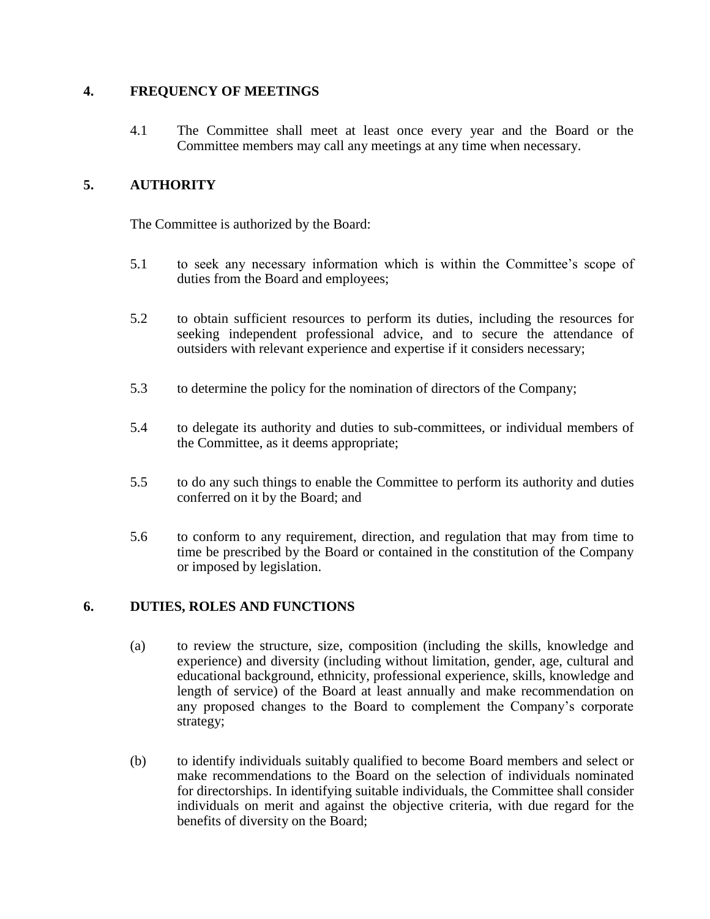## **4. FREQUENCY OF MEETINGS**

4.1 The Committee shall meet at least once every year and the Board or the Committee members may call any meetings at any time when necessary.

# **5. AUTHORITY**

The Committee is authorized by the Board:

- 5.1 to seek any necessary information which is within the Committee's scope of duties from the Board and employees;
- 5.2 to obtain sufficient resources to perform its duties, including the resources for seeking independent professional advice, and to secure the attendance of outsiders with relevant experience and expertise if it considers necessary;
- 5.3 to determine the policy for the nomination of directors of the Company;
- 5.4 to delegate its authority and duties to sub-committees, or individual members of the Committee, as it deems appropriate;
- 5.5 to do any such things to enable the Committee to perform its authority and duties conferred on it by the Board; and
- 5.6 to conform to any requirement, direction, and regulation that may from time to time be prescribed by the Board or contained in the constitution of the Company or imposed by legislation.

# **6. DUTIES, ROLES AND FUNCTIONS**

- (a) to review the structure, size, composition (including the skills, knowledge and experience) and diversity (including without limitation, gender, age, cultural and educational background, ethnicity, professional experience, skills, knowledge and length of service) of the Board at least annually and make recommendation on any proposed changes to the Board to complement the Company's corporate strategy;
- (b) to identify individuals suitably qualified to become Board members and select or make recommendations to the Board on the selection of individuals nominated for directorships. In identifying suitable individuals, the Committee shall consider individuals on merit and against the objective criteria, with due regard for the benefits of diversity on the Board;